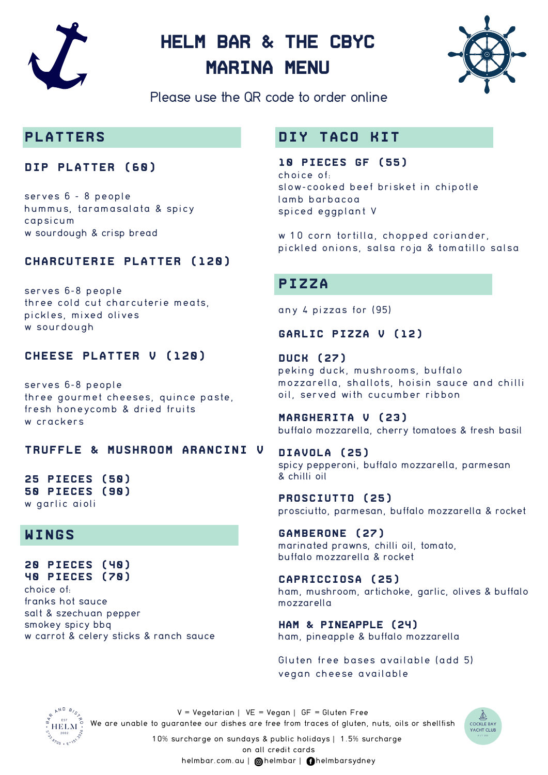

# **Helm Bar & the CBYC MARINA MENU**



Please use the QR code to order online

### **PLATTERS**

#### **DIP PLATTER (60)**

serves 6 - 8 people hummus, taramasalata & spicy capsicum w sourdough & crisp bread

### **CHARCUTERIE PLATTER (120)**

serves 6-8 people three cold cut charcuterie meats, pickles, mixed olives w sourdough

#### **CHEESE PLATTER V (120)**

serves 6-8 people three gourmet cheeses, quince paste, fresh honeycomb & dried fruits w crackers

#### **TRUFFLE & MUSHROOM ARANCINI V**

**25 PIECES (50) 50 PIECES (90)** w garlic aioli

### **WINGS**

**20 pieces (40) 40 pieces (70)** choice of: franks hot sauce salt & szechuan pepper smokey spicy bbq w carrot & celery sticks & ranch sauce

### **DIY TACO KIT**

**10 pieces gf (55)** choice of: slow-cooked beef brisket in chipotle lamb barbacoa spiced eggplant V

w 10 corn tortilla, chopped coriander, pickled onions, salsa roja & tomatillo salsa

### **PIZZA**

any 4 pizzas for (95)

#### **garlic pizza v (12)**

**duck (27)** peking duck, mushrooms, buffalo mozzarella, shallots, hoisin sauce and chilli oil, served with cucumber ribbon

**MargHERIta V (23)** buffalo mozzarella, cherry tomatoes & fresh basil

**Diavola (25)** spicy pepperoni, buffalo mozzarella, parmesan & chilli oil

**Prosciutto (25)** prosciutto, parmesan, buffalo mozzarella & rocket

**Gamberone (27)** marinated prawns, chilli oil, tomato, buffalo mozzarella & rocket

**Capricciosa (25)** ham, mushroom, artichoke, garlic, olives & buffalo mozzarella

**Ham & Pineapple (24)** ham, pineapple & buffalo mozzarella

Gluten free bases available (add 5) vegan cheese available



 $V = Vegetarian \mid VE = Vegan \mid GF = Gluten Free$ We are unable to guarantee our dishes are free from traces of gluten, nuts, oils or shellfish

**COCKLE BAY** YACHT CLUI

10% surcharge on sundays & public holidays | 1.5% surcharge

on all credit cards

helmbar.com.au | @helmbar | @helmbarsydney